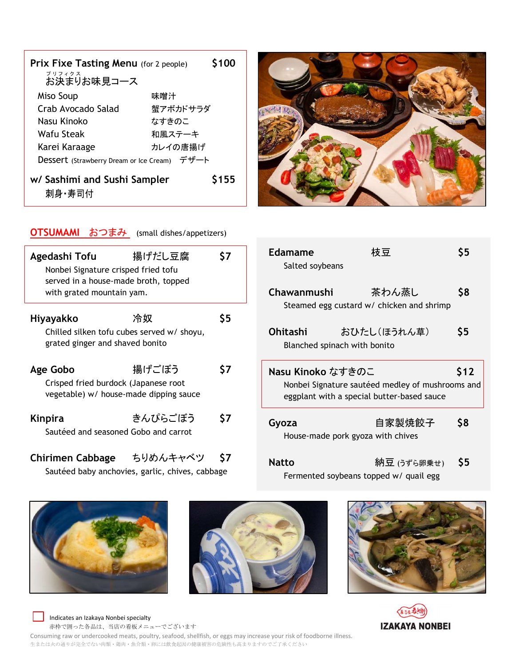| <b>Prix Fixe Tasting Menu</b> (for 2 people) |          | <b>S100</b> |
|----------------------------------------------|----------|-------------|
| プリフィクス<br>お決まりお味見コース                         |          |             |
| Miso Soup                                    | 味噌汁      |             |
| Crab Avocado Salad                           | 蟹アボカドサラダ |             |
| Nasu Kinoko                                  | なすきのこ    |             |
| Wafu Steak                                   | 和風ステーキ   |             |
| Karei Karaage                                | カレイの唐揚げ  |             |
| Dessert (Strawberry Dream or Ice Cream) デザート |          |             |
| w/ Sashimi and Sushi Sampler<br>刺身·寿司付       |          | \$155       |



Edamame 枝豆 \$5

Salted soybeans

#### OTSUMAMI おつまみ (small dishes/appetizers)

| Agedashi Tofu<br>Nonbei Signature crisped fried tofu<br>served in a house-made broth, topped<br>with grated mountain yam. | 揚げだし豆腐  | 57  |
|---------------------------------------------------------------------------------------------------------------------------|---------|-----|
| Hiyayakko<br>Chilled silken tofu cubes served w/ shoyu,<br>grated ginger and shaved bonito                                | 冷奴      | S5  |
| Age Gobo<br>Crisped fried burdock (Japanese root<br>vegetable) w/ house-made dipping sauce                                | 揚げごぼう   | \$7 |
| Kinpira<br>Sautéed and seasoned Gobo and carrot                                                                           | きんぴらごぼう | S7  |

# Chirimen Cabbage ちりめんキャベツ \$7

Sautéed baby anchovies, garlic, chives, cabbage

| Chawanmushi                                                                                                         | 茶わん蒸し<br>Steamed egg custard w/ chicken and shrimp | \$8  |
|---------------------------------------------------------------------------------------------------------------------|----------------------------------------------------|------|
| Ohitashi                                                                                                            | おひたし(ほうれん草)<br>Blanched spinach with bonito        | \$5  |
| Nasu Kinoko なすきのこ<br>Nonbei Signature sautéed medley of mushrooms and<br>eggplant with a special butter-based sauce |                                                    | \$12 |
| Gyoza                                                                                                               | 自家製焼餃子<br>House-made pork gyoza with chives        | \$8  |
| Natto                                                                                                               | 納豆 (うずら卵乗せ)                                        |      |

Fermented soybeans topped w/ quail egg









 Indicates an Izakaya Nonbei specialty 赤枠で囲った各品は、当店の看板メニューでございます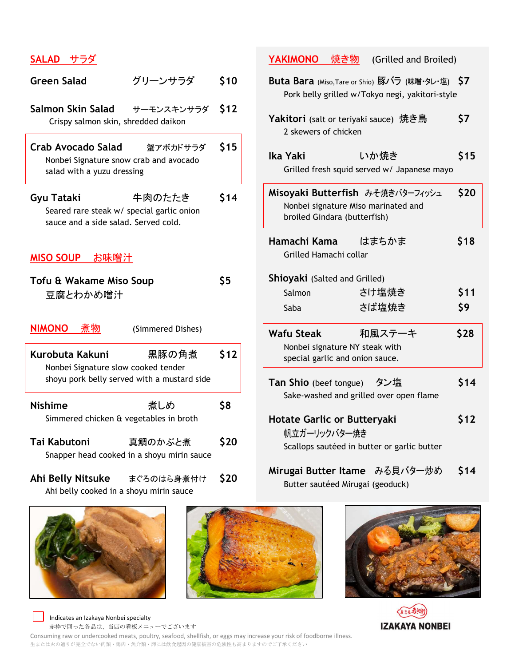## SALAD サラダ

| <b>Green Salad</b>                                                                              | グリーンサラダ                                               | \$10       |
|-------------------------------------------------------------------------------------------------|-------------------------------------------------------|------------|
| Salmon Skin Salad<br>Crispy salmon skin, shredded daikon                                        | サーモンスキンサラダ \$12                                       |            |
| Crab Avocado Salad<br>Nonbei Signature snow crab and avocado<br>salad with a yuzu dressing      | 蟹アボカドサラダ                                              | \$15       |
| Gyu Tataki<br>Seared rare steak w/ special garlic onion<br>sauce and a side salad. Served cold. | 牛肉のたたき                                                | \$14       |
| <u>MISO SOUP  お味噌汁</u>                                                                          |                                                       |            |
| Tofu & Wakame Miso Soup<br>豆腐とわかめ噌汁                                                             |                                                       | <b>\$5</b> |
| <b>NIMONO</b><br>煮物                                                                             | (Simmered Dishes)                                     |            |
| Kurobuta Kakuni<br>Nonbei Signature slow cooked tender                                          | 黒豚の角煮<br>shoyu pork belly served with a mustard side  | \$12       |
| <b>Nishime</b>                                                                                  |                                                       |            |
| Simmered chicken & vegetables in broth                                                          | 煮しめ                                                   | <b>\$8</b> |
| Tai Kabutoni                                                                                    | 真鯛のかぶと煮<br>Snapper head cooked in a shoyu mirin sauce | \$20       |

Ahi belly cooked in a shoyu mirin sauce





# Buta Bara (Miso, Tare or Shio) 豚バラ (味噌・タレ・塩) \$7

YAKIMONO 焼き物 (Grilled and Broiled)

| Pork belly grilled w/Tokyo negi, yakitori-style                                                         |                                                     |      |
|---------------------------------------------------------------------------------------------------------|-----------------------------------------------------|------|
| Yakitori (salt or teriyaki sauce) 焼き鳥<br>2 skewers of chicken                                           |                                                     | \$7  |
| Ika Yaki                                                                                                | いか焼き<br>Grilled fresh squid served w/ Japanese mayo | \$15 |
| Misoyaki Butterfish みそ焼きバターフィッシュ<br>Nonbei signature Miso marinated and<br>broiled Gindara (butterfish) |                                                     | \$20 |
| Hamachi Kama   はまちかま<br>Grilled Hamachi collar                                                          |                                                     | \$18 |
| <b>Shioyaki</b> (Salted and Grilled)                                                                    |                                                     |      |
| Salmon                                                                                                  | さけ塩焼き                                               | \$11 |
| Saba                                                                                                    | さば塩焼き                                               | \$9  |
| Wafu Steak                                                                                              | 和風ステーキ                                              | \$28 |
| Nonbei signature NY steak with<br>special garlic and onion sauce.                                       |                                                     |      |
| Tan Shio (beef tongue) タン塩                                                                              | Sake-washed and grilled over open flame             | \$14 |
| <b>Hotate Garlic or Butteryaki</b><br>帆立ガーリックバター焼き                                                      | Scallops sautéed in butter or garlic butter         | \$12 |

Mirugai Butter Itame みる貝バター炒め \$14 Butter sautéed Mirugai (geoduck)





 Indicates an Izakaya Nonbei specialty 赤枠で囲った各品は、当店の看板メニューでございます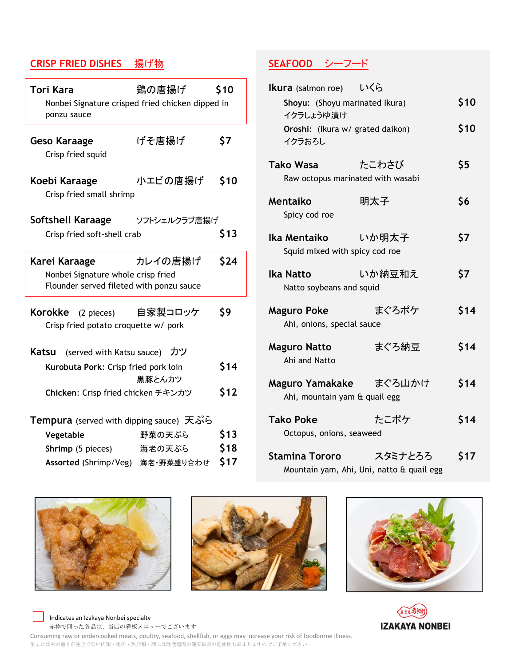# CRISP FRIED DISHES 揚げ物

| Tori Kara<br>Nonbei Signature crisped fried chicken dipped in<br>ponzu sauce                    | 鶏の唐揚げ                        | \$10 |  |
|-------------------------------------------------------------------------------------------------|------------------------------|------|--|
| Geso Karaage<br>Crisp fried squid                                                               | げそ唐揚げ                        | \$7  |  |
| Koebi Karaage<br>Crisp fried small shrimp                                                       | 小エビの唐揚げ                      | \$10 |  |
| Softshell Karaage<br>Crisp fried soft-shell crab                                                | ソフトシェルクラブ唐揚げ                 | \$13 |  |
| Karei Karaage<br>Nonbei Signature whole crisp fried<br>Flounder served fileted with ponzu sauce | カレイの唐揚げ                      | \$24 |  |
| Korokke<br>(2 pieces)<br>Crisp fried potato croquette w/ pork                                   | 自家製コロッケ                      | \$9  |  |
| Katsu                                                                                           | (served with Katsu sauce) カツ |      |  |
| Kurobuta Pork: Crisp fried pork loin                                                            | 黒豚とんカツ                       | \$14 |  |
| Chicken: Crisp fried chicken チキンカツ                                                              |                              | \$12 |  |
| Tempura (served with dipping sauce) 天ぷら                                                         |                              |      |  |
| Vegetable                                                                                       | 野菜の天ぷら                       | \$13 |  |
| Shrimp (5 pieces)                                                                               | 海老の天ぷら                       | \$18 |  |
| Assorted (Shrimp/Veg) 海老·野菜盛り合わせ                                                                |                              | \$17 |  |

# SEAFOOD シーフード

| Ikura (salmon roe) いくら                                  |                                                      |      |
|---------------------------------------------------------|------------------------------------------------------|------|
| Shoyu: (Shoyu marinated Ikura)<br>イクラしょうゆ漬け             |                                                      | \$10 |
| Oroshi: (Ikura w/ grated daikon)<br>イクラおろし              |                                                      | \$10 |
| <b>Tako Wasa</b><br>Raw octopus marinated with wasabi   | たこわさび                                                | \$5  |
| Mentaiko<br>Spicy cod roe                               | 明太子                                                  | \$6  |
| Ika Mentaiko<br>Squid mixed with spicy cod roe          | - いか明太子                                              | \$7  |
| Ika Natto<br>Natto soybeans and squid                   | いか納豆和え                                               | \$7  |
| <b>Maguro Poke</b><br>Ahi, onions, special sauce        | まぐろポケ                                                | \$14 |
| <b>Maguro Natto</b><br>Ahi and Natto                    | まぐろ納豆                                                | \$14 |
| Maguro Yamakake まぐろ山かけ<br>Ahi, mountain yam & quail egg |                                                      | \$14 |
| <b>Tako Poke</b><br>Octopus, onions, seaweed            | たこポケ                                                 | \$14 |
| <b>Stamina Tororo</b>                                   | スタミナとろろ<br>Mountain yam, Ahi, Uni, natto & quail egg | \$17 |









Indicates an Izakaya Nonbei specialty 赤枠で囲った各品は、当店の看板メニューでございます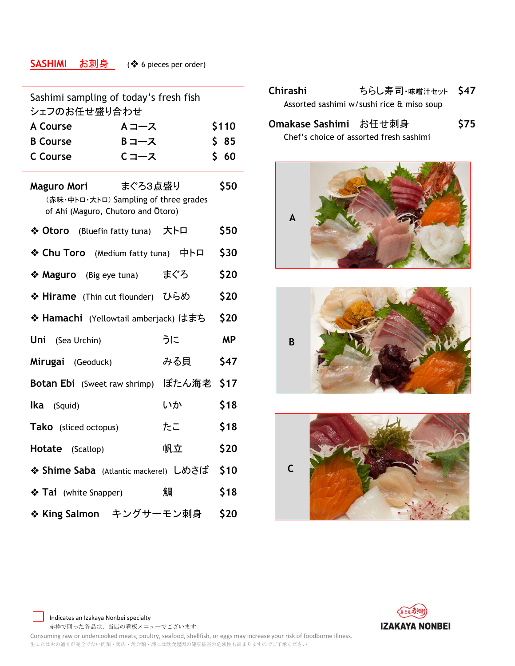# SASHIMI お刺身 (◆ 6 pieces per order)

| Sashimi sampling of today's fresh fish<br>シェフのお任せ盛り合わせ                                                |     |           |  |
|-------------------------------------------------------------------------------------------------------|-----|-----------|--|
| <b>A Course</b><br>Aコース                                                                               |     | \$110     |  |
| <b>B</b> Course<br>B コース                                                                              |     | \$ 85     |  |
| Cコース<br><b>C</b> Course                                                                               |     | \$60      |  |
| まぐろ3点盛り<br>Maguro Mori<br>(赤味·中トロ·大トロ) Sampling of three grades<br>of Ahi (Maguro, Chutoro and Otoro) |     | \$50      |  |
| ❖ Otoro (Bluefin fatty tuna) 大卜口                                                                      |     | \$50      |  |
| ❖ Chu Toro (Medium fatty tuna) 中卜口                                                                    |     | \$30      |  |
| ❖ Maguro (Big eye tuna)                                                                               | まぐろ | \$20      |  |
| ◆ Hirame (Thin cut flounder) ひらめ                                                                      |     | \$20      |  |
| ◆ Hamachi (Yellowtail amberjack) はまち                                                                  |     | \$20      |  |
| <b>Uni</b> (Sea Urchin)                                                                               | うに  | <b>MP</b> |  |
| Mirugai (Geoduck)                                                                                     | みる貝 | \$47      |  |
| Botan Ebi (Sweet raw shrimp) ぼたん海老 \$17                                                               |     |           |  |
| <b>lka</b> (Squid)                                                                                    | いか  | \$18      |  |
| <b>Tako</b> (sliced octopus)                                                                          | たこ  | \$18      |  |
| <b>Hotate</b> (Scallop)                                                                               | 帆立  | \$20      |  |
| ❖ Shime Saba (Atlantic mackerel) しめさば \$10                                                            |     |           |  |
| ❖ Tai (white Snapper)                                                                                 | 鯛   | \$18      |  |
| ❖ King Salmon キングサーモン刺身 \$20                                                                          |     |           |  |
|                                                                                                       |     |           |  |

| <b>Chirashi</b>       | ちらし寿司·味噌汁セット \$47                         |             |
|-----------------------|-------------------------------------------|-------------|
|                       | Assorted sashimi w/sushi rice & miso soup |             |
| Omakase Sashimi お任せ刺身 |                                           | <b>\$75</b> |

Chef's choice of assorted fresh sashimi









 Indicates an Izakaya Nonbei specialty 赤枠で囲った各品は、当店の看板メニューでございます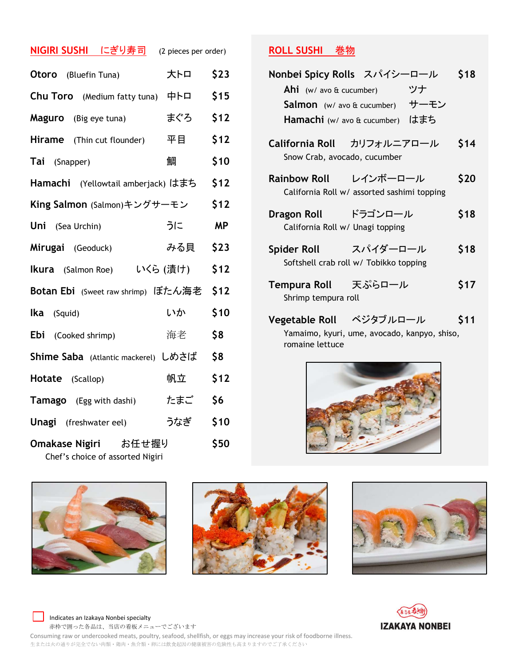| <u>NIGIRI SUSHI  にぎり寿司</u>                               | (2 pieces per order) |           |
|----------------------------------------------------------|----------------------|-----------|
| <b>Otoro</b> (Bluefin Tuna)                              | 大トロ                  | \$23      |
| <b>Chu Toro</b> (Medium fatty tuna)                      | 中卜口                  | \$15      |
| <b>Maguro</b> (Big eye tuna)                             | まぐろ                  | \$12      |
| <b>Hirame</b> (Thin cut flounder)                        | 平目                   | \$12      |
| Tai (Snapper)                                            | 鯛                    | \$10      |
| Hamachi (Yellowtail amberjack) はまち                       |                      | \$12      |
| King Salmon (Salmon)キングサーモン                              |                      | \$12      |
| Uni<br>(Sea Urchin)                                      | うに                   | <b>MP</b> |
| Mirugai (Geoduck)                                        | みる貝                  | \$23      |
| <b>Ikura</b> (Salmon Roe)                                | いくら (漬け)             | \$12      |
| Botan Ebi (Sweet raw shrimp) ぼたん海老                       |                      | \$12      |
| lka<br>(Squid)                                           | いか                   | \$10      |
| Ebi (Cooked shrimp)                                      | 海老                   | \$8       |
| Shime Saba (Atlantic mackerel) しめさば                      |                      | \$8       |
| Hotate (Scallop)                                         | 帆立                   | \$12      |
| <b>Tamago</b> (Egg with dashi)                           | たまご                  | \$6       |
| <b>Unagi</b> (freshwater eel)                            | うなぎ                  | \$10      |
| Omakase Nigiri お任せ握り<br>Chef's choice of assorted Nigiri |                      | \$50      |









**ROLL SUSHI 卷物** 

| Nonbei Spicy Rolls スパイシーロール                                          | <b>\$18</b> |
|----------------------------------------------------------------------|-------------|
| Ahi (w/ avo $\alpha$ cucumber)                                       | ツナ          |
| <b>Salmon</b> (w/ avo $\hat{a}$ cucumber)                            | サーモン        |
| Hamachi (w/ avo & cucumber)                                          | はまち         |
| California Roll カリフォルニアロール<br>Snow Crab, avocado, cucumber           | \$14        |
| Rainbow Roll レインボーロール<br>California Roll w/ assorted sashimi topping | \$20        |
| Dragon Roll ドラゴンロール<br>California Roll w/ Unagi topping              | \$18        |
| Spider Roll スパイダーロール<br>Softshell crab roll w/ Tobikko topping       | \$18        |
| Tempura Roll 天ぷらロール<br>Shrimp tempura roll                           | \$17        |
| Vegetable Roll ベジタブルロール<br>Yamaimo kvuri ume avocado kannyo shiso    | \$11        |

Yamaimo, kyuri, ume, avocado, kanpyo, shiso, romaine lettuce



Indicates an Izakaya Nonbei specialty 赤枠で囲った各品は、当店の看板メニューでございます